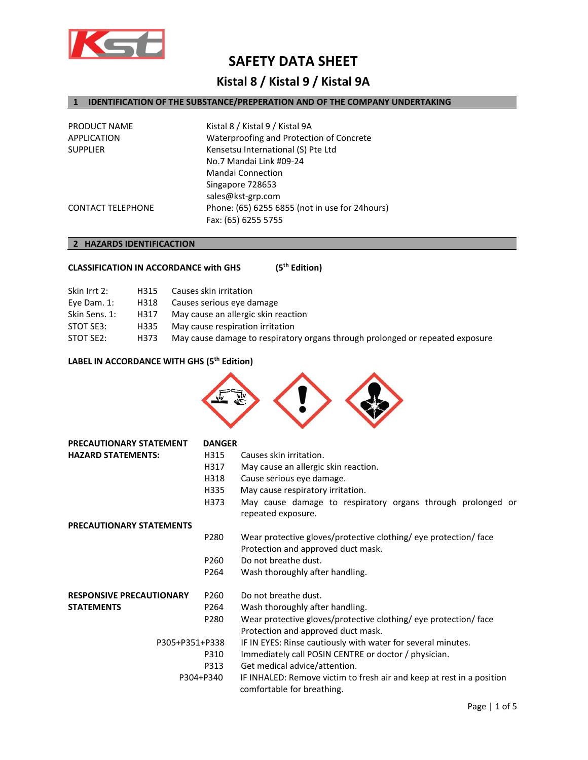

## **SAFETY DATA SHEET**

### **Kistal 8 / Kistal 9 / Kistal 9A**

### **1 IDENTIFICATION OF THE SUBSTANCE/PREPERATION AND OF THE COMPANY UNDERTAKING**

| Waterproofing and Protection of Concrete       |
|------------------------------------------------|
|                                                |
|                                                |
|                                                |
|                                                |
|                                                |
| Phone: (65) 6255 6855 (not in use for 24hours) |
|                                                |
|                                                |

### **2 HAZARDS IDENTIFICACTION**

| <b>CLASSIFICATION IN ACCORDANCE with GHS</b> | $(5^{th}$ Edition) |
|----------------------------------------------|--------------------|
|----------------------------------------------|--------------------|

| Skin Irrt 2:  | H315 | Causes skin irritation                                                        |
|---------------|------|-------------------------------------------------------------------------------|
| Eye Dam. 1:   | H318 | Causes serious eye damage                                                     |
| Skin Sens. 1: | H317 | May cause an allergic skin reaction                                           |
| STOT SE3:     | H335 | May cause respiration irritation                                              |
| STOT SE2:     | H373 | May cause damage to respiratory organs through prolonged or repeated exposure |
|               |      |                                                                               |

### **LABEL IN ACCORDANCE WITH GHS (5th Edition)**



| <b>PRECAUTIONARY STATEMENT</b>  | <b>DANGER</b>    |                                                                                                     |
|---------------------------------|------------------|-----------------------------------------------------------------------------------------------------|
| <b>HAZARD STATEMENTS:</b>       | H315             | Causes skin irritation.                                                                             |
|                                 | H317             | May cause an allergic skin reaction.                                                                |
|                                 | H318             | Cause serious eye damage.                                                                           |
|                                 | H335             | May cause respiratory irritation.                                                                   |
|                                 | H373             | May cause damage to respiratory organs through prolonged or<br>repeated exposure.                   |
| <b>PRECAUTIONARY STATEMENTS</b> |                  |                                                                                                     |
|                                 | P280             | Wear protective gloves/protective clothing/ eye protection/ face                                    |
|                                 |                  | Protection and approved duct mask.                                                                  |
|                                 | P260             | Do not breathe dust.                                                                                |
|                                 | P264             | Wash thoroughly after handling.                                                                     |
| <b>RESPONSIVE PRECAUTIONARY</b> | P <sub>260</sub> | Do not breathe dust.                                                                                |
| <b>STATEMENTS</b>               | P264             | Wash thoroughly after handling.                                                                     |
|                                 | P280             | Wear protective gloves/protective clothing/ eye protection/ face                                    |
|                                 |                  | Protection and approved duct mask.                                                                  |
| P305+P351+P338                  |                  | IF IN EYES: Rinse cautiously with water for several minutes.                                        |
| P310<br>P313<br>P304+P340       |                  | Immediately call POSIN CENTRE or doctor / physician.                                                |
|                                 |                  | Get medical advice/attention.                                                                       |
|                                 |                  | IF INHALED: Remove victim to fresh air and keep at rest in a position<br>comfortable for breathing. |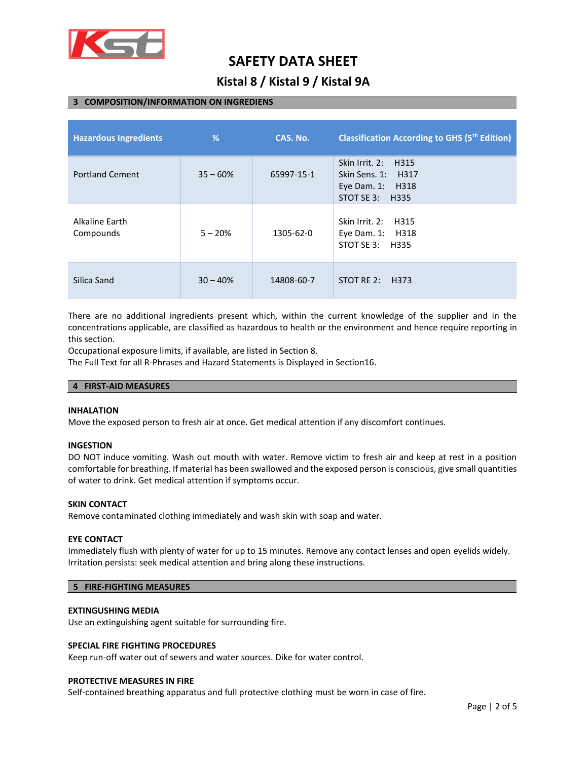

# **SAFETY DATA SHEET**

### **Kistal 8 / Kistal 9 / Kistal 9A**

#### **3 COMPOSITION/INFORMATION ON INGREDIENS**

| <b>Hazardous Ingredients</b> | %          | CAS. No.   | <b>Classification According to GHS (5th Edition)</b>                                   |
|------------------------------|------------|------------|----------------------------------------------------------------------------------------|
| <b>Portland Cement</b>       | $35 - 60%$ | 65997-15-1 | Skin Irrit. 2:<br>H315<br>Skin Sens. 1: H317<br>Eye Dam. 1:<br>H318<br>STOT SE 3: H335 |
| Alkaline Earth<br>Compounds  | $5 - 20%$  | 1305-62-0  | Skin Irrit, 2:<br>H315<br>Eye Dam. 1: H318<br>STOT SE 3: H335                          |
| Silica Sand                  | $30 - 40%$ | 14808-60-7 | STOT RE $2:$ H373                                                                      |

There are no additional ingredients present which, within the current knowledge of the supplier and in the concentrations applicable, are classified as hazardous to health or the environment and hence require reporting in this section.

Occupational exposure limits, if available, are listed in Section 8.

The Full Text for all R-Phrases and Hazard Statements is Displayed in Section16.

#### **4 FIRST-AID MEASURES**

#### **INHALATION**

Move the exposed person to fresh air at once. Get medical attention if any discomfort continues.

#### **INGESTION**

DO NOT induce vomiting. Wash out mouth with water. Remove victim to fresh air and keep at rest in a position comfortable for breathing. If material has been swallowed and the exposed person is conscious, give small quantities of water to drink. Get medical attention if symptoms occur.

#### **SKIN CONTACT**

Remove contaminated clothing immediately and wash skin with soap and water.

#### **EYE CONTACT**

Immediately flush with plenty of water for up to 15 minutes. Remove any contact lenses and open eyelids widely. Irritation persists: seek medical attention and bring along these instructions.

#### **5 FIRE-FIGHTING MEASURES**

#### **EXTINGUSHING MEDIA**

Use an extinguishing agent suitable for surrounding fire.

#### **SPECIAL FIRE FIGHTING PROCEDURES**

Keep run-off water out of sewers and water sources. Dike for water control.

#### **PROTECTIVE MEASURES IN FIRE**

Self-contained breathing apparatus and full protective clothing must be worn in case of fire.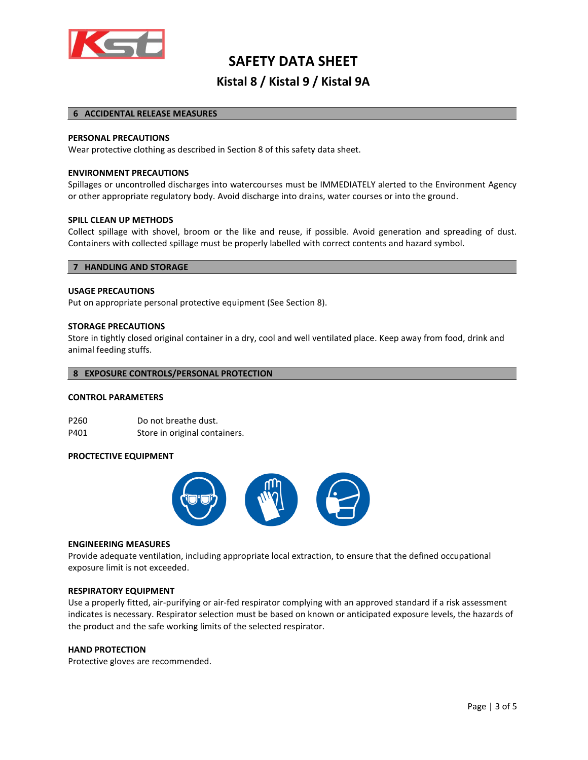

## **SAFETY DATA SHEET Kistal 8 / Kistal 9 / Kistal 9A**

#### **6 ACCIDENTAL RELEASE MEASURES**

#### **PERSONAL PRECAUTIONS**

Wear protective clothing as described in Section 8 of this safety data sheet.

#### **ENVIRONMENT PRECAUTIONS**

Spillages or uncontrolled discharges into watercourses must be IMMEDIATELY alerted to the Environment Agency or other appropriate regulatory body. Avoid discharge into drains, water courses or into the ground.

#### **SPILL CLEAN UP METHODS**

Collect spillage with shovel, broom or the like and reuse, if possible. Avoid generation and spreading of dust. Containers with collected spillage must be properly labelled with correct contents and hazard symbol.

#### **7 HANDLING AND STORAGE**

#### **USAGE PRECAUTIONS**

Put on appropriate personal protective equipment (See Section 8).

#### **STORAGE PRECAUTIONS**

Store in tightly closed original container in a dry, cool and well ventilated place. Keep away from food, drink and animal feeding stuffs.

#### **8 EXPOSURE CONTROLS/PERSONAL PROTECTION**

#### **CONTROL PARAMETERS**

P260 Do not breathe dust. P401 Store in original containers.

#### **PROCTECTIVE EQUIPMENT**



#### **ENGINEERING MEASURES**

Provide adequate ventilation, including appropriate local extraction, to ensure that the defined occupational exposure limit is not exceeded.

#### **RESPIRATORY EQUIPMENT**

Use a properly fitted, air-purifying or air-fed respirator complying with an approved standard if a risk assessment indicates is necessary. Respirator selection must be based on known or anticipated exposure levels, the hazards of the product and the safe working limits of the selected respirator.

#### **HAND PROTECTION**

Protective gloves are recommended.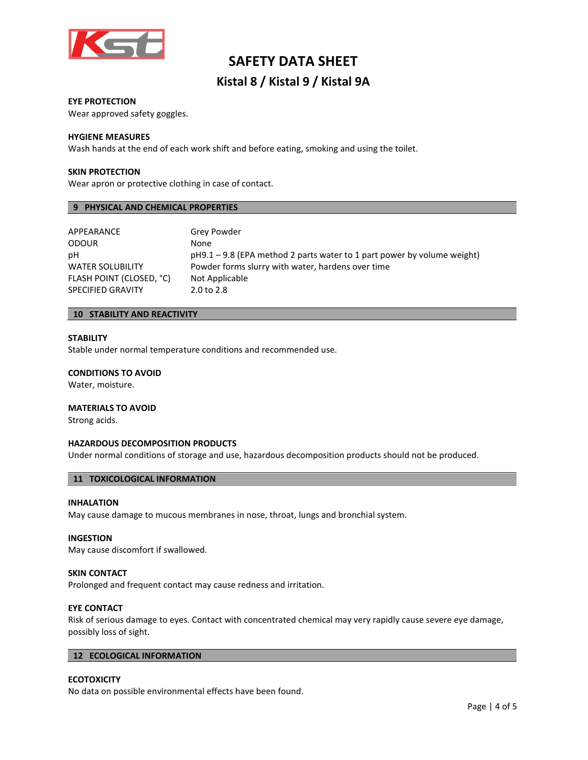

## **SAFETY DATA SHEET Kistal 8 / Kistal 9 / Kistal 9A**

#### **EYE PROTECTION**

Wear approved safety goggles.

#### **HYGIENE MEASURES**

Wash hands at the end of each work shift and before eating, smoking and using the toilet.

#### **SKIN PROTECTION**

Wear apron or protective clothing in case of contact.

#### **9 PHYSICAL AND CHEMICAL PROPERTIES**

| APPEARANCE               | Grey Powder                                                               |
|--------------------------|---------------------------------------------------------------------------|
| <b>ODOUR</b>             | None                                                                      |
| рH                       | $pH9.1 - 9.8$ (EPA method 2 parts water to 1 part power by volume weight) |
| <b>WATER SOLUBILITY</b>  | Powder forms slurry with water, hardens over time                         |
| FLASH POINT (CLOSED, °C) | Not Applicable                                                            |
| <b>SPECIFIED GRAVITY</b> | 2.0 to 2.8                                                                |

#### **10 STABILITY AND REACTIVITY**

#### **STABILITY**

Stable under normal temperature conditions and recommended use.

#### **CONDITIONS TO AVOID**

Water, moisture.

#### **MATERIALS TO AVOID**

Strong acids.

#### **HAZARDOUS DECOMPOSITION PRODUCTS**

Under normal conditions of storage and use, hazardous decomposition products should not be produced.

#### **11 TOXICOLOGICAL INFORMATION**

#### **INHALATION**

May cause damage to mucous membranes in nose, throat, lungs and bronchial system.

#### **INGESTION**

May cause discomfort if swallowed.

#### **SKIN CONTACT**

Prolonged and frequent contact may cause redness and irritation.

#### **EYE CONTACT**

Risk of serious damage to eyes. Contact with concentrated chemical may very rapidly cause severe eye damage, possibly loss of sight.

#### **12 ECOLOGICAL INFORMATION**

#### **ECOTOXICITY**

No data on possible environmental effects have been found.